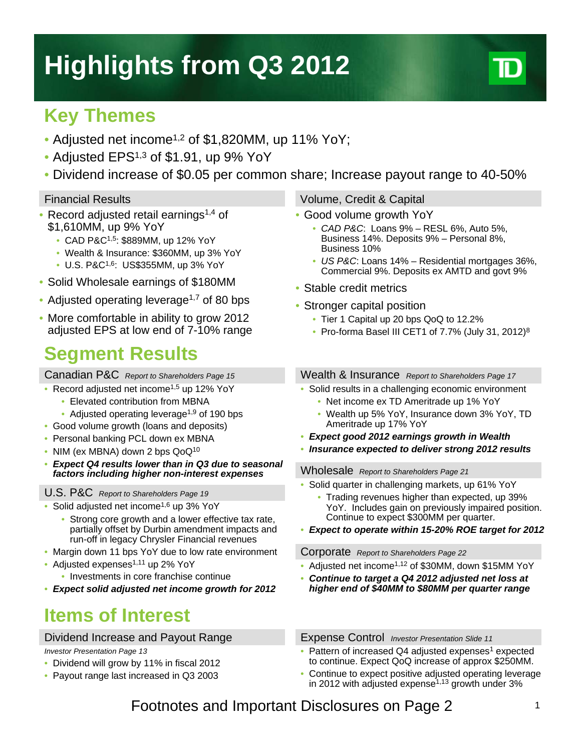# **Highlights from Q3 2012**

## **Key Themes**

- Adjusted net income<sup>1,2</sup> of \$1,820MM, up 11% YoY;
- Adjusted EPS<sup>1,3</sup> of \$1.91, up 9% YoY
- Dividend increase of \$0.05 per common share; Increase payout range to 40-50%

- Record adjusted retail earnings<sup>1,4</sup> of \$1,610MM, up 9% YoY
	- CAD P&C1,5: \$889MM, up 12% YoY
	- Wealth & Insurance: \$360MM, up 3% YoY
	- U.S. P&C1,6: US\$355MM, up 3% YoY
- Solid Wholesale earnings of \$180MM
- Adjusted operating leverage<sup>1,7</sup> of 80 bps
- More comfortable in ability to grow 2012 adjusted EPS at low end of 7-10% range

### **Segment Results**

Canadian P&C *Report to Shareholders Page 15*

- Record adjusted net income<sup>1,5</sup> up 12% YoY
	- Elevated contribution from MBNA
	- Adjusted operating leverage<sup>1,9</sup> of 190 bps
- Good volume growth (loans and deposits)
- Personal banking PCL down ex MBNA
- NIM (ex MBNA) down 2 bps QoQ<sup>10</sup>
- *Expect Q4 results lower than in Q3 due to seasonal factors including higher non-interest expenses*

#### U.S. P&C *Report to Shareholders Page 19*

- Solid adjusted net income<sup>1,6</sup> up 3% YoY
	- Strong core growth and a lower effective tax rate, partially offset by Durbin amendment impacts and run-off in legacy Chrysler Financial revenues
- Margin down 11 bps YoY due to low rate environment
- Adjusted expenses $1,11$  up 2% YoY
	- Investments in core franchise continue
- *Expect solid adjusted net income growth for 2012*

### **Items of Interest**

### Dividend Increase and Payout Range

#### *Investor Presentation Page 13*

- Dividend will grow by 11% in fiscal 2012
- Payout range last increased in Q3 2003

### Financial Results Volume, Credit & Capital

- Good volume growth YoY
	- *CAD P&C*: Loans 9% RESL 6%, Auto 5%, Business 14%. Deposits 9% – Personal 8%, Business 10%
	- *US P&C*: Loans 14% Residential mortgages 36%, Commercial 9%. Deposits ex AMTD and govt 9%
- Stable credit metrics
- Stronger capital position
	- Tier 1 Capital up 20 bps QoQ to 12.2%
	- Pro-forma Basel III CET1 of 7.7% (July 31, 2012)<sup>8</sup>

Wealth & Insurance *Report to Shareholders Page 17*

- Solid results in a challenging economic environment
	- Net income ex TD Ameritrade up 1% YoY
	- Wealth up 5% YoY, Insurance down 3% YoY, TD Ameritrade up 17% YoY
- *Expect good 2012 earnings growth in Wealth*
- *Insurance expected to deliver strong 2012 results*

Wholesale *Report to Shareholders Page 21*

- Solid quarter in challenging markets, up 61% YoY
	- Trading revenues higher than expected, up 39% YoY. Includes gain on previously impaired position. Continue to expect \$300MM per quarter.
- *Expect to operate within 15-20% ROE target for 2012*

#### Corporate *Report to Shareholders Page 22*

- Adjusted net income<sup>1,12</sup> of \$30MM, down \$15MM YoY
- *Continue to target a Q4 2012 adjusted net loss at higher end of \$40MM to \$80MM per quarter range*

Expense Control *Investor Presentation Slide 11*

- Pattern of increased Q4 adjusted expenses<sup>1</sup> expected to continue. Expect QoQ increase of approx \$250MM.
- Continue to expect positive adjusted operating leverage in 2012 with adjusted expense $1,13$  growth under 3%

### Footnotes and Important Disclosures on Page 2